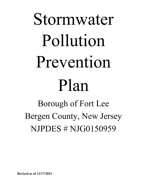# Stormwater Pollution Prevention Plan Borough of Fort Lee

Bergen County, New Jersey NJPDES # NJG0150959

**Revised as of 12/17/2021**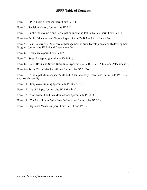### **SPPP Table of Contents**

- Form 1 SPPP Team Members (permit cite IV F 1)
- Form  $2$  Revision History (permit cite IV F 1)
- Form 3 Public Involvement and Participation Including Public Notice (permit cite IV B 1)
- Form 4 Public Education and Outreach (permit cite IV B 2 and Attachment B)

Form 5 – Post-Construction Stormwater Management in New Development and Redevelopment Program (permit cite IV B 4 and Attachment D)

- Form 6 Ordinances (permit cite IV B 5)
- Form 7 Street Sweeping (permit cite IV B 5 b)

Form 8 – Catch Basin and Storm Drain Inlets (permit cite IV B 2, IV B 5 b ii, and Attachment C)

Form 9 – Storm Drain Inlet Retrofitting (permit cite IV B 5 b)

Form 10 – Municipal Maintenance Yards and Other Ancillary Operations (permit cite IV B 5 c and Attachment E)

Form 11 – Employee Training (permit cite IV B 5 d, e, f)

Form  $12$  – Outfall Pipes (permit cite IV B 6 a, b, c)

- Form 13 Stormwater Facilities Maintenance (permit cite IV C 1)
- Form 14 Total Maximum Daily Load Information (permit cite IV C 2)
- Form 15 Optional Measures (permit cite IV E 1 and IV E 2)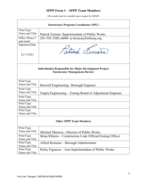# **SPPP Form 1 – SPPP Team Members**

|                                                                                                       | <b>Stormwater Program Coordinator (SPC)</b>               |  |  |  |
|-------------------------------------------------------------------------------------------------------|-----------------------------------------------------------|--|--|--|
| Print/Type                                                                                            |                                                           |  |  |  |
| Name and Title                                                                                        | Patrick Ferrara- Superintendent of Public Works           |  |  |  |
| Office Phone #<br>and email                                                                           | 201-592-3500 x6000 p-ferrara@fortleenj.org                |  |  |  |
| Signature/Date<br>12/17/2021                                                                          | Tatrick Ferrara                                           |  |  |  |
| <b>Individual(s) Responsible for Major Development Project</b><br><b>Stormwater Management Review</b> |                                                           |  |  |  |
| Print/Type                                                                                            |                                                           |  |  |  |
| Name and Title                                                                                        | Boswell Engineering–Borough Engineer                      |  |  |  |
| Print/Type<br>Name and Title                                                                          | Neglia Engineering – Zoning Board of Adjustment Engineer  |  |  |  |
| Print/Type<br>Name and Title                                                                          |                                                           |  |  |  |
| Print/Type<br>Name and Title                                                                          |                                                           |  |  |  |
| Print/Type<br>Name and Title                                                                          |                                                           |  |  |  |
| <b>Other SPPP Team Members</b>                                                                        |                                                           |  |  |  |
| Print/Type<br>Name and Title                                                                          | Michael Maresca - Director of Public Works                |  |  |  |
| Print/Type<br>Name and Title                                                                          | Brian Ribarro – Construction Code Official/Zoning Officer |  |  |  |
| Print/Type<br>Name and Title                                                                          | Alfred Restaino - Borough Administrator                   |  |  |  |
| Print/Type<br>Name and Title                                                                          | Ricky Figueroa – Asst Superintendent of Public Works      |  |  |  |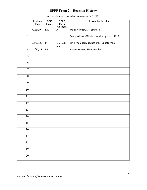# **SPPP Form 2 – Revision History**

|                   | <b>Revision</b><br><b>Date</b> | SPC<br><b>Initials</b> | <b>SPPP</b><br>Form<br>Changed | <b>Reason for Revision</b>                     |
|-------------------|--------------------------------|------------------------|--------------------------------|------------------------------------------------|
| 1.                | 4/25/19                        | EJM                    | All                            | Using New NJDEP Template                       |
| 2.                |                                |                        |                                | See previous SPPPs for revisions prior to 2019 |
| 3.                | 12/23/20                       | $\mathsf{PF}$          | 1, 2, 6, 8,<br>map             | SPPP members, update links, update map         |
| 4.                | 12/17/21                       | PF                     | 1,                             | Annual review, SPPP members                    |
| 5.                |                                |                        |                                |                                                |
| 6.                |                                |                        |                                |                                                |
| $\overline{7}$ .  |                                |                        |                                |                                                |
| 8.                |                                |                        |                                |                                                |
| 9.                |                                |                        |                                |                                                |
| 10.               |                                |                        |                                |                                                |
| 11.               |                                |                        |                                |                                                |
| 12.               |                                |                        |                                |                                                |
| 13.               |                                |                        |                                |                                                |
| 14.               |                                |                        |                                |                                                |
| 15.               |                                |                        |                                |                                                |
| 16.               |                                |                        |                                |                                                |
| 17.               |                                |                        |                                |                                                |
| 18.               |                                |                        |                                |                                                |
| 19.               |                                |                        |                                |                                                |
| $\overline{20}$ . |                                |                        |                                |                                                |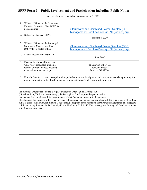# **SPPP Form 3 – Public Involvement and Participation Including Public Notice**

| 1.<br>2.                                                                                                                                                                                                           | Website URL where the Stormwater<br>Pollution Prevention Plan (SPPP) is<br>posted online:<br>Date of most current SPPP:                    | <b>Stormwater and Combined Sewer Overflow (CSO)</b><br>Management   Fort Lee Borough, NJ (fortleenj.org)<br>November 2020                                                                                                                                                                                                                                                                                                                                                                                                                                                      |  |  |
|--------------------------------------------------------------------------------------------------------------------------------------------------------------------------------------------------------------------|--------------------------------------------------------------------------------------------------------------------------------------------|--------------------------------------------------------------------------------------------------------------------------------------------------------------------------------------------------------------------------------------------------------------------------------------------------------------------------------------------------------------------------------------------------------------------------------------------------------------------------------------------------------------------------------------------------------------------------------|--|--|
| 3.                                                                                                                                                                                                                 | Website URL where the Municipal<br>Stormwater Management Plan<br>(MSWMP) is posted online:                                                 | <b>Stormwater and Combined Sewer Overflow (CSO)</b><br>Management   Fort Lee Borough, NJ (fortleenj.org)                                                                                                                                                                                                                                                                                                                                                                                                                                                                       |  |  |
| 4.                                                                                                                                                                                                                 | Date of most current MSWMP:                                                                                                                | June 2007                                                                                                                                                                                                                                                                                                                                                                                                                                                                                                                                                                      |  |  |
| 5.                                                                                                                                                                                                                 | Physical location and/or website<br>URL where associated municipal<br>records of public notices, meeting<br>dates, minutes, etc. are kept: | The Borough of Fort Lee<br>530 Jane Street<br>Fort Lee, NJ 07024                                                                                                                                                                                                                                                                                                                                                                                                                                                                                                               |  |  |
| Describe how the permittee complies with applicable state and local public notice requirements when providing for<br>6.<br>public participation in the development and implementation of a MS4 stormwater program: |                                                                                                                                            |                                                                                                                                                                                                                                                                                                                                                                                                                                                                                                                                                                                |  |  |
|                                                                                                                                                                                                                    | For meetings where public notice is required under the Open Public Meetings Act<br>with those requirements.                                | ("Sunshine Law," N.J.S.A. 10:4-6 etseq.), the Borough of Fort Lee provides public notice<br>in a manner that complies with the requirements of that Act. Also, in regard to the passage<br>of ordinances, the Borough of Fort Lee provides public notice in a manner that complies with the requirements of N.J.S.A.<br>$40:49-1$ et seq. In addition, for municipal actions (e.g., adoption of the municipal stormwater management plan) subject to<br>public notice requirements in the Municipal Land Use Law (N.J.S.A. 40:550-1 et seq.), the Borough of Fort Lee complies |  |  |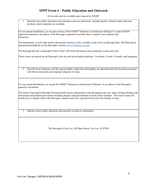### **SPPP Form 4 – Public Education and Outreach**

All records must be available upon request by NJDEP.

1. Describe how public education and outreach events are advertised. Include specific websites and/or physical locations where materials are available.

For our annual distribution, we excerpt sections of the NJDEP "Solutions to Stormwater Pollution" or other NJDEPapproved materials in an edition of the Borough's quarterly newsletter that is mailed to all residents and businesses.

The information, as well other public educational material, is also available in the Fort Lee Borough Hall, 309 Main Street and posted periodically on the Borough's website [\(www.fortleenj.org.org\)](http://www.fortleenj.org.org/).

The Borough also has a municipal 'Green Team" who hold educational and community events each year.

These events are posted on the Borough's web site and social media platforms: Facebook, Twitter, Youtube, and Instagram.

2. Describe how businesses and the general public within the municipality are educated about the hazards associated with illicit connections and improper disposal of waste.

For our annual distribution, we except the NJDEP "Solutions to Stormwater Pollution" in an edition of the Borough's quarterly newsletters.

The Green Team and/or Borough Personnel hold various educational events throughout the year, many of them dealing with stormwater and pollution prevention including projects and presentations to local school students. The Green Team will usually have a display table at the Borough's annual street fair, typically held on the first Sunday in June.

3. Indicate where public education and outreach records are maintained.

The Borough of Fort Lee, 309 Main Street, Fort Lee, NJ 07024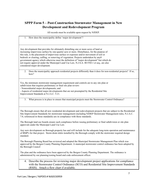# **SPPP Form 5 – Post-Construction Stormwater Management in New Development and Redevelopment Program**

All records must be available upon request by NJDEP.

1. How does the municipality define 'major development'?

Any development that provides for ultimately disturbing one or more acres of land or increasing impervious surface by one-quarter acre or more. Disturbance, for the purpose of this rule, is the placement of impervious surface or exposure and/or movement of soil or bedrock or clearing, cuffing, or removing of vegetation. Projects undertaken by any0 government agency which otherwise meet the definition of "major development" but which do not require approval under the Municipal Land Use Law, N.J.S.A. 40:55D-1 et seq., are also considered major development.

2. Does the municipality approach residential projects differently than it does for non-residential projects? If so, how?

Yes, the minimum stormwater management requirement and controls are to any site plan or subdivision that requires preliminary or final site plan review:

- Nonresidential major developments; and

- Aspects of residential major developments that are not preempted by the Residential Site Improvement Standards at N.J.A.C. 5:21.

3. What process is in place to ensure that municipal projects meet the Stormwater Control Ordinance?

The Borough ensure that all new residential development and redevelopment projects that are subject to the Residential Site Improvement Standards for stormwater management (including NJDEP Stormwater Management rules, N.J.A.C. 7:8, referenced in those standards) are in compliance with those standards.

The Borough land use boards ensure such compliance before issuing preliminary or final subdivision or site plan approvals under the Municipal Land Use Law.

Any new development on Borough property has and will include for the adequate long-term operation and maintenance of BMP's for that project. Storm drain inlets installed by the Borough comply with the stornwater required design standard.

The Borough Planning Board has reviewed and adopted the Municipal Stormwater Management Plan which was approved by the Bergen County Planning Department. A municipal stormwater control ordinance has been adopted by the Borough Council

. The plan and the ordinance have been approved by the Bergen County Planning Department. The ordinance is administered by our planning/zoning board and code enforcement officer.

### 4. Describe the process for reviewing major development project applications for compliance with the Stormwater Control Ordinance (SCO) and Residential Site Improvement Standards (RSIS). Attach a flow chart if available.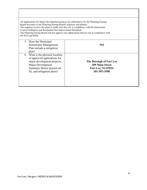| Board Secretary to the Planning/Zoning Board's engineer and planner.<br>Control Ordinance and Residential Site Improvement Standards.<br>the SCO and RSIS.                       | All applications for Major Development projects are submitted to by the Planning/Zoning<br>The engineer reviews the plans to make sure they are in compliance with the Stormwater<br>The Planning/Zoning Board will not approve any applications that are not in compliance with |
|----------------------------------------------------------------------------------------------------------------------------------------------------------------------------------|----------------------------------------------------------------------------------------------------------------------------------------------------------------------------------------------------------------------------------------------------------------------------------|
| 5. Does the Municipal<br>Stormwater Management<br>Plan include a mitigation<br>plan?                                                                                             | N <sub>O</sub>                                                                                                                                                                                                                                                                   |
| 6. What is the physical location<br>of approved applications for<br>major development projects,<br>Major Development<br>Summary Sheets (permit att.<br>D), and mitigation plans? | The Borough of Fort Lee<br><b>309 Main Street</b><br>Fort Lee, NJ 07024<br>201-592-3500                                                                                                                                                                                          |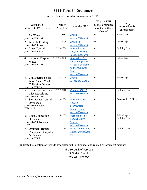# **SPPP Form 6 – Ordinances**

| All records must be available upon request by NJDEP. |  |
|------------------------------------------------------|--|
|------------------------------------------------------|--|

| Ordinance<br>permit cite IV.B.1.b.iii                                                        | Date of<br>Adoption | Website URL              | Was the DEP<br>model ordinance<br>adopted without<br>change? | Entity<br>responsible for<br>enforcement |
|----------------------------------------------------------------------------------------------|---------------------|--------------------------|--------------------------------------------------------------|------------------------------------------|
| 1. Pet Waste                                                                                 | $3 - 3 - 1978$      | <b>Article II</b>        | no                                                           | Health Dept.                             |
| permit cite IV.B.5.a.i                                                                       |                     | (ecode360.com)           |                                                              |                                          |
|                                                                                              | 3-23-2006           | <b>Article III</b>       | no                                                           | Police Dept.                             |
| 2. Wildlife Feeding<br>permit cite IV.B5.a.ii                                                |                     |                          |                                                              |                                          |
|                                                                                              |                     | (ecode360.com)           |                                                              |                                          |
| 3. Litter Control                                                                            | 3-23-2006           | <b>Borough of Fort</b>   | no                                                           | <b>Building Dept.</b>                    |
| permit cite IV.B5.a.iii                                                                      |                     | Lee, NJ Littering        |                                                              |                                          |
|                                                                                              |                     | (ecode360.com)           |                                                              |                                          |
| 4. Improper Disposal of                                                                      | 3-23-2006           | <b>Borough of Fort</b>   | no                                                           | Police Dept.                             |
| Waste                                                                                        |                     | Lee, NJ Improper         |                                                              |                                          |
| permit cite IV.B.5.a.iv                                                                      |                     | <b>Disposal of Waste</b> |                                                              |                                          |
|                                                                                              |                     | to Storm Sewer           |                                                              |                                          |
|                                                                                              |                     | System                   |                                                              |                                          |
|                                                                                              |                     | (ecode360.com)           |                                                              |                                          |
| Containerized Yard<br>5.                                                                     | 3-23-2006           | <b>Article</b>           | no                                                           | Police Dept.                             |
|                                                                                              |                     |                          |                                                              |                                          |
| Waste/ Yard Waste                                                                            |                     | X (ecode360.com)         |                                                              |                                          |
| <b>Collection Program</b>                                                                    |                     |                          |                                                              |                                          |
| permit cite IV.B.5.a.v                                                                       |                     |                          |                                                              |                                          |
| 6. Private Storm Drain                                                                       | 7-22-2010           | Chapter 358-13           | no                                                           | <b>Building Dept.</b>                    |
| <b>Inlet Retrofitting</b>                                                                    |                     | (ecode360.com)           |                                                              |                                          |
| permit cite IV.B.5.a.vi                                                                      |                     |                          |                                                              |                                          |
| <b>Stormwater Control</b><br>7.                                                              | 3-23-2006           | <b>Borough of Fort</b>   | no                                                           | <b>Construction Official</b>             |
| Ordinance                                                                                    |                     | Lee, NJ                  |                                                              |                                          |
| permit cite IV.B.4.g and                                                                     |                     | Stormwater               |                                                              |                                          |
| IV.B.5.a.vii                                                                                 |                     | Management               |                                                              |                                          |
|                                                                                              |                     | (ecode360.com)           |                                                              |                                          |
| 8. Illicit Connection                                                                        | $1 - 25 - 2007$     | <b>Borough of Fort</b>   | no                                                           | Police Dept.                             |
| Ordinance                                                                                    |                     | Lee, NJ Storm            |                                                              | <b>Building Dept.</b>                    |
| permit cite IV.B.5.a.vii and                                                                 |                     | <b>Sewers</b>            |                                                              |                                          |
| <b>IV.B.6.d</b>                                                                              |                     | (ecode360.com)           |                                                              |                                          |
|                                                                                              | 7-22-2010           | https://www.ecod         | no                                                           | Building Dept.                           |
| 9. Optional: Refuse                                                                          |                     |                          |                                                              |                                          |
| Container/Dumpster                                                                           |                     | e360.com/100701          |                                                              |                                          |
| Ordinance                                                                                    |                     | 27                       |                                                              |                                          |
| permit cite IV.E.2                                                                           |                     |                          |                                                              |                                          |
|                                                                                              |                     |                          |                                                              |                                          |
| Indicate the location of records associated with ordinances and related enforcement actions: |                     |                          |                                                              |                                          |
|                                                                                              |                     | The Borough of Fort Lee  |                                                              |                                          |
|                                                                                              |                     | 309 Main Street          |                                                              |                                          |
|                                                                                              |                     |                          |                                                              |                                          |
|                                                                                              |                     | Fort Lee, NJ 07024       |                                                              |                                          |
|                                                                                              |                     |                          |                                                              |                                          |
|                                                                                              |                     |                          |                                                              |                                          |
|                                                                                              |                     |                          |                                                              |                                          |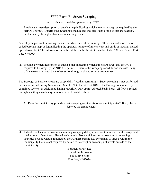### **SPPP Form 7 – Street Sweeping**

All records must be available upon request by NJDEP.

1. Provide a written description or attach a map indicating which streets are swept as required by the NJPDES permit. Describe the sweeping schedule and indicate if any of the streets are swept by another entity through a shared service arrangement.

A weekly map is kept indicating the date on which each street is swept. This is indicated on a color coded borough map. A log indicating the operator, number of miles swept and yards of material picked up is also on kept. The information is on file at the Public Works Office located at 530 Jane Street, Fort Lee, NJ 07024.

2. Provide a written description or attach a map indicating which streets are swept that are NOT required to be swept by the NJPDES permit. Describe the sweeping schedule and indicate if any of the streets are swept by another entity through a shared service arrangement.

The Borough of Fort lee streets are swept daily (weather permitting). Street sweeping is not performed or only as needed during November – March. Note that at least 40% of the Borough is serviced by combined sewers. In addition to having retrofit NJDEP-approved catch basin heads, all flow is routed through a netting chamber system to remove floatable debris.

3. Does the municipality provide street sweeping services for other municipalities? If so, please describe the arrangements.

NO

4. Indicate the location of records, including sweeping dates, areas swept, number of miles swept and total amount of wet tons collected each month. Note which records correspond to sweeping activities beyond what is required by the NJPDES permit, i.e., sweepings of streets within the municipality that are not required by permit to be swept or sweepings of streets outside of the municipality.

> Borough of Fort Lee Dept. of Public Works 530 Main Street Fort Lee, NJ 07024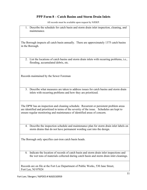### **PPP Form 8 – Catch Basins and Storm Drain Inlets**

All records must be available upon request by NJDEP.

| The records must be available apon request by TWDET.                                                                                                                                                                                                               |
|--------------------------------------------------------------------------------------------------------------------------------------------------------------------------------------------------------------------------------------------------------------------|
| 1. Describe the schedule for catch basin and storm drain inlet inspection, cleaning, and<br>maintenance.                                                                                                                                                           |
| The Borough inspects all catch basin annually. There are approximately 1375 catch basins<br>in the Borough.                                                                                                                                                        |
| 2. List the locations of catch basins and storm drain inlets with recurring problems, i.e.,<br>flooding, accumulated debris, etc.                                                                                                                                  |
| Records maintained by the Sewer Foreman                                                                                                                                                                                                                            |
| 3. Describe what measures are taken to address issues for catch basins and storm drain<br>inlets with recurring problems and how they are prioritized.                                                                                                             |
| The DPW has an inspection and cleaning schedule. Recurrent or persistent problem areas<br>are identified and prioritized in terms of the severity of the issue. Schedules are kept to<br>ensure regular monitoring and maintenance of identified areas of concern. |
| 4. Describe the inspection schedule and maintenance plan for storm drain inlet labels on<br>storm drains that do not have permanent wording cast into the design.                                                                                                  |
| The Borough only specifies cast-iron catch basin heads.                                                                                                                                                                                                            |
| Indicate the location of records of catch basin and storm drain inlet inspections and<br>5.<br>the wet tons of materials collected during catch basin and storm drain inlet cleanings.                                                                             |

Records are on file at the Fort Lee Department of Public Works, 530 Jane Street, Fort Lee, NJ 07024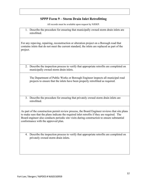## **SPPP Form 9 – Storm Drain Inlet Retrofitting**

All records must be available upon request by NJDEP.

1. Describe the procedure for ensuring that municipally owned storm drain inlets are retrofitted.

For any repaving, repairing, reconstruction or alteration project on a Borough road that contains inlets that do not meet the current standard, the inlets are replaced as part of the project.

2. Describe the inspection process to verify that appropriate retrofits are completed on municipally owned storm drain inlets.

The Department of Public Works or Borough Engineer inspects all municipal road projects to ensure that the inlets have been properly retrofitted as required.

3. Describe the procedure for ensuring that privately owned storm drain inlets are retrofitted.

As part of the construction permit review process, the Board Engineer reviews that site plans to make sure that the plans indicate the required inlet retrofits if they are required. The Board engineer also conducts periodic site visits during construction to ensure substantial conformance with the approved plan.

4. Describe the inspection process to verify that appropriate retrofits are completed on privately owned storm drain inlets.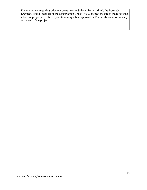For any project requiring privately-owned storm drains to be retrofitted, the Borough Engineer, Board Engineer or the Construction Code Official inspect the site to make sure the inlets are properly retrofitted prior to issuing a final approval and/or certificate of occupancy at the end of the project.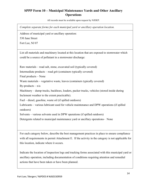# **SPPP Form 10 – Municipal Maintenance Yards and Other Ancillary Operations**

All records must be available upon request by NJDEP.

*Complete separate forms for each municipal yard or ancillary operation location.*

Address of municipal yard or ancillary operation:

530 Jane Street

Fort Lee, NJ 07

List all materials and machinery located at this location that are exposed to stormwater which could be a source of pollutant in a stormwater discharge:

Raw materials – road salt, stone, excavated soil (typically covered)

Intermediate products – road grit (containers typically covered)

Final products – None

Waste materials – vegetative waste, leaves (containers typically covered)

By-products –  $n/a$ 

Machinery – dump trucks, backhoes, loaders, packer trucks, vehicles (stored inside during Inclement weather to the extent practicable).

Fuel – diesel, gasoline, waste oil (if spilled outdoors)

Lubricants – various lubricant used for vehicle maintenance and DPW operations (if spilled outdoors)

Solvents – various solvents used in DPW operations (if spilled outdoors)

Detergents related to municipal maintenance yard or ancillary operations– None

For each category below, describe the best management practices in place to ensure compliance with all requirements in permit Attachment E. If the activity in the category is not applicable for this location, indicate where it occurs.

Indicate the location of inspection logs and tracking forms associated with this municipal yard or ancillary operation, including documentation of conditions requiring attention and remedial actions that have been taken or have been planned.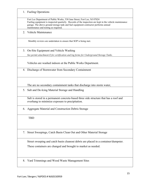1. Fueling Operations

Fort Lee Department of Public Works, 530 Jane Street, Fort Lee, NJ 07024 Fueling equipment is inspected quarterly. Records of the inspection are kept in the vehicle maintenance garage. The above ground storage tank and fuel equipment contractor performs annual maintenance and testing as required.

2. Vehicle Maintenance

Monthly reviews are undertaken to ensure that SOP is being met.

3. On-Site Equipment and Vehicle Washing

*See permit attachment E for certification and log forms for Underground Storage Tanks.* 

Vehicles are washed indoors at the Public Works Department.

4. Discharge of Stormwater from Secondary Containment

The are no secondary containment tanks that discharge into storm water,

5. Salt and De-Icing Material Storage and Handling

Salt is stored in a permanent concrete-based three side structure that has a roof and overhang to minimize exposure to precipitation.

6. Aggregate Material and Construction Debris Storage

TBD

7. Street Sweepings, Catch Basin Clean Out and Other Material Storage

Street sweeping and catch basin cleanout debris are placed in a container/dumpster. These containers are changed and brought to market as needed.

8. Yard Trimmings and Wood Waste Management Sites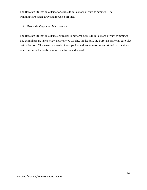The Borough utilizes an outside for curbside collections of yard trimmings. The trimmings are taken away and recycled off-site.

9. Roadside Vegetation Management

The Borough utilizes an outside contractor to perform curb side collections of yard trimmings. The trimmings are taken away and recycled off-site. In the Fall, the Borough performs curb-side leaf collection. The leaves are loaded into a packer and vacuum trucks and stored in containers where a contractor hauls them off-site for final disposal.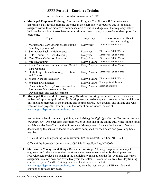### **SPPP Form 11 – Employee Training**

All records must be available upon request by NJDEP.

A. **Municipal Employee Training:** Stormwater Program Coordinator (SPC) must ensure appropriate staff receive training on topics in the chart below as required due to job duties assigned within three months of commencement of duties and again on the frequency below. Indicate the location of associated training sign in sheets, dates, and agendas or description for each topic.

| Topic                                                   | Frequency     | Title of trainer or office to |
|---------------------------------------------------------|---------------|-------------------------------|
|                                                         |               | conduct training              |
| 1. Maintenance Yard Operations (including)              | Every year    | Director of Public Works      |
| <b>Ancillary Operations)</b>                            |               |                               |
| <b>Stormwater Facility Maintenance</b><br>2.            | Every year    | Director of Public Works      |
| SPPP Training & Recordkeeping<br>3.                     | Every year    | Director of Public Works      |
| <b>Yard Waste Collection Program</b><br>4.              | Every 2 years | Director of Public Works      |
| <b>Street Sweeping</b><br>5.                            | Every 2 years | Director of Public Works      |
| <b>Illicit Connection Elimination and Outfall</b><br>6. | Every 2 years | Director of Public Works      |
| Pipe Mapping                                            |               |                               |
| 7. Outfall Pipe Stream Scouring Detection               | Every 2 years | Director of Public Works      |
| and Control                                             |               |                               |
| Waste Disposal Education<br>8.                          | Every 2 years | Director of Public Works      |
| <b>Municipal Ordinances</b><br>9.                       | Every 2 years | Borough Administrator         |
| 10. Construction Activity/Post-Construction             | Every 2 years | <b>Borough Engineer</b>       |
| Stormwater Management in New                            |               |                               |
| Development and Redevelopment                           |               |                               |

B. **Municipal Board and Governing Body Members Training:** Required for individuals who review and approve applications for development and redevelopment projects in the municipality. This includes members of the planning and zoning boards, town council, and anyone else who votes on such projects. Training is in the form of online videos, posted at [www.nj.gov/dep/stormwater/training.htm.](http://www.nj.gov/dep/stormwater/training.htm)

Within 6 months of commencing duties, watch *Asking the Right Questions in Stormwater Review Training Tool*. Once per term thereafter, watch at least one of the online DEP videos in the series available under Post-Construction Stormwater Management. Indicate the location of records documenting the names, video titles, and dates completed for each board and governing body member.

Office of the Planning/Zoning Administrator, 309 Main Street, Fort Lee, NJ 07024

Office of the Borough Administrator, 309 Main Street, Fort Lee, NJ 07024

C. **Stormwater Management Design Reviewer Training:** All design engineers, municipal engineers, and others who review the stormwater management design for development and redevelopment projects on behalf of the municipality must attend the first available class upon assignment as a reviewer and every five years thereafter. The course is a free, two-day training conducted by DEP staff. Training dates and locations are posted at [www.nj.gov/dep/stormwater/training.htm.](http://www.nj.gov/dep/stormwater/training.htm) Indicate the location of the DEP certificate of completion for each reviewer.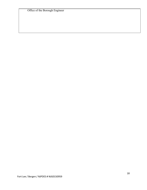Office of the Borough Engineer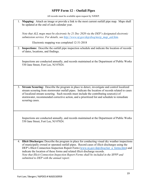### **SPPP Form 12 – Outfall Pipes**

All records must be available upon request by NJDEP.

1. **Mapping:** Attach an image or provide a link to the most current outfall pipe map. Maps shall be updated at the end of each calendar year.

*Note that ALL maps must be electronic by 21 Dec 2020 via the DEP's designated electronic submission service. For details, see [http://www.nj.gov/dep/dwq/msrp\\_map\\_aid.htm.](http://www.nj.gov/dep/dwq/msrp_map_aid.htm)*

Electronic mapping was completed 12-31-2018

2. **Inspections:** Describe the outfall pipe inspection schedule and indicate the location of records of dates, locations, and findings.

Inspections are conducted annually, and records maintained at the Department of Public Works 530 Jane Street, Fort Lee, NJ 07024.

3. **Stream Scouring:** Describe the program in place to detect, investigate and control localized stream scouring from stormwater outfall pipes. Indicate the location of records related to cases of localized stream scouring. Such records must include the contributing source(s) of stormwater, recommended corrective action, and a prioritized list and schedule to remediate scouring cases.

Inspections are conducted annually, and records maintained at the Department of Public Works 530 Jane Street, Fort Lee, NJ 07024.

4. **Illicit Discharges:** Describe the program in place for conducting visual dry weather inspections of municipally owned or operated outfall pipes. Record cases of illicit discharges using the DEP's Illicit Connection Inspection Report Form [\(www.nj.gov/dep/dwq/tier\\_a\\_forms.htm\)](http://www.nj.gov/dep/dwq/tier_a_forms.htm) and indicate the location of these forms and related illicit discharge records. *Note that Illicit Connection Inspection Report Forms shall be included in the SPPP and submitted to DEP with the annual report.*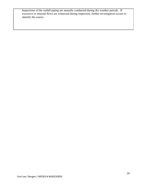Inspections of the outfall piping are annually conducted during dry weather periods. If excessive or unusual flows are witnessed during inspection, further investigation occurs to identify the source.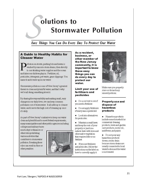# olutions to **Stormwater Pollution**

# Easy Things You Can Do Every Day To Protect Our Water

### **A Guide to Healthy Habits for Cleaner Water**

ollution on streets, parking lots and lawns is washed by rain into storm drains, then directly to our drinking water supplies and the ocean and lakes our children play in. Fertilizer, oil, pesticides, detergents, pet waste, grass clippings: You name it and it ends up in our water.

Stormwater pollution is one of New Jersey's greatest threats to clean and plentiful water, and that's why we'reall doing something about it.

By sharing the responsibility and making small, easy changes in our daily lives, we can keep common pollutants out of stomwater. It all adds up to cleaner water, and it saves the high cost of cleaning up once it's dirty.

As part of New Jersey's initiative to keep our water clean and plentiful and to meet federal requirements, many municipalities and other public agencies including colleges and military bases

must a dopt ordinances or otherrulesprohibiting various activities that contribute to stormwater pollution. Breaking these rules can result in fines or other penalties.



As a resident, business, or other member of the New Jersey community, it is important to know these easy things you can do every day to protect our water.

### Limit your use of fertilizers and pesticides

- $\Box$  Do a soil test to see if you need a fertilizer.
- Do not apply fertilizers if heavy rain is predicted.
- Lookinto alternatives for pesticides.

Maintain a small lawn and keep the rest of your property or yard in a natural state with trees and othernative vegetation that requires little or no fertilizer.

**F** If you use fertilizers and pesticides, follow the instructions on the label on how to correctly apply it.



Make sure you properly store or discardany unused portions.

### **Properly use and** dispose of hazardous products

Hazardousproducts include some household or commercial deaning products, lawn and garden care products, motor oil, antifreeze, and paints.

Donot pour any hazardous products down a storm drain because storm drains are usually connected to local waterbodies and the water is not treated.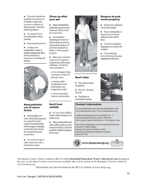If you have hazardous products in your home or workplace, make sure you store or dispose of them properly. Read the label for guidance.

 $\blacksquare$  Use natural or less toxic alternatives when possible.

Recycle used motor oil.

Contact your municipality, county or facility management office for the locations of hazardous-waste disposal facilities.



#### **Keep pollution** out of storm drains

**Municipalities and** many other public agencies are required to mark certain storm drain inlets with messages reminding people that storm drains are connected to local waterbodies.

Donot let sewage or other wastes flow into a stormwater system.

### **Clean up after** your pet

**Manymunicipalities** and public agencies must enact and enforce local pet-waste rules.

**Anexample**is requiring pet owners or their keepers to pick up and properly dispose of pet waste dropped on public or other people's property.

Make sure you know your town's or agency's requirements and comply with them. It's the law. And remember to:

- Use newspaper, bags or pooper-scoopers to pick up wastes.
- Dispose of the wrapped pet waste in the trash or unwrapped in a toilet.
- Never discard pet waste in a storm drain.

### Don't feed wildlife

Do not feed wildlife. such as ducks and geese, in public areas.

Many municipalities and other public agencies must enact and enforce a rule that prohibits wildlife feeding in these areas.



### Don't litter

- Place litter in trash receptacles.
- Recycle. Recycle. Recycle.
- **Participate in** community cleanups.

### **Contact information**

For more information on stormwater related topics, visit www.njstormwater.org or www.nonpointsource.org

Additional information is also available at U.S. Environmental Protection Agency Web sites www.epa.gov/npdes/stormwater or www.epa.gov/nps

New Jersey Department of Environmental Protection Division of Water Quality Bureau of Nonpoint Pollution Control Municipal Stormwater Regulation Program  $(609) 633 - 7021$ 



The Bergen County Utilities Authority (BCUA) holds **Household Hazardous Waste Collection Events** throughout the year. As the dates for these events become available, they will be posted on the Borough of Fort lee website at www.fortleenj.org

Information can also be found on the BCUA website at www.bcua.org.

### Keep leaves and grass out of storm drains.

**Dispose of yard** 

waste properly

**If your municipality or** agency has yard waste collection rules, follow them.

Use leaves and grass clippings as a resource for compost.

 $\blacksquare$  Use a mulching mower that recycles grass clippings into the lawn.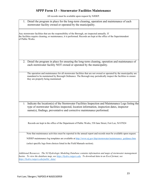### **SPPP Form 13 – Stormwater Facilities Maintenance**

| 1. Detail the program in place for the long-term cleaning, operation and maintenance of each<br>stormwater facility owned or operated by the municipality.                                                                                                                     |
|--------------------------------------------------------------------------------------------------------------------------------------------------------------------------------------------------------------------------------------------------------------------------------|
| Any stormwater facilities that are the responsibility of the Borough, are inspected annually. If<br>the facilities require cleaning, or maintenance, it is performed. Records are kept at the office of the Superintendent<br>of Public Works.                                 |
| 2. Detail the program in place for ensuring the long-term cleaning, operation and maintenance of<br>each stormwater facility NOT owned or operated by the municipality.                                                                                                        |
| The operation and maintenance for all stormwater facilities that are not owned or operated by the municipality are<br>mandated to be maintained by Borough Ordinance. The Borough may periodically inspect the facilities to ensure<br>they are properly being maintained.     |
| Indicate the location(s) of the Stormwater Facilities Inspection and Maintenance Logs listing the<br>3.<br>type of stormwater facilities inspected, location information, inspection dates, inspector<br>name(s), findings, preventative and corrective maintenance performed. |
| Records are kept in the office of the Department of Public Works, 530 Jane Street, Fort Lee, NJ 07024                                                                                                                                                                          |
| Note that maintenance activities must be reported in the annual report and records must be available upon request.<br>NJDEP maintenance log templates are available at http://www.nj.gov/dep/stormwater/maintenance_guidance.htm                                               |
| (select specific logs from choices listed in the Field Manuals section).                                                                                                                                                                                                       |
| Additional Resources: The NJ Hydrologic Modeling Database contains information and maps of stormwater management<br>basins. To view the database map, see https://hydro.rutgers.edu. To download data in an Excel format, see<br>https://hydro.rutgers.edu/public_data/.       |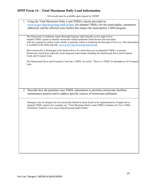# **SPPP Form 14 – Total Maximum Daily Load Information**

| Using the Total Maximum Daily Load (TMDL) reports provided on<br>1.<br>www.nj.gov/dep/dwq/msrp-tmdl-rh.htm, list adopted TMDLs for the municipality, parameters                                                                                                                                |
|------------------------------------------------------------------------------------------------------------------------------------------------------------------------------------------------------------------------------------------------------------------------------------------------|
| addressed, and the affected water bodies that impact the municipality's MS4 program.                                                                                                                                                                                                           |
| The Stormwater Coordinator and/or Borough Engineer shall annually review approved or                                                                                                                                                                                                           |
| adopted TMDL reports to identify stormwater related pollutants listed therein and associated<br>with any segment of surface water wholly or partially within or bordering the Borough of Fort Lee. This information<br>is available at the following link: www.nj.gov/dep/dwq/msrp-tmdl-rh.htm |
| Most stormwater is discharged to the Hudson River for which there are no identified TMDLs at present.<br>Stormwater runoff may indirectly reach impacted water bodies including the Hackensack River and Overpeck<br>Creek and Overpeck Lake.                                                  |
| The Hackensack River and Overpeck Creek has a TMDL for nickel. There is a TMDL for phosphorus for Overpeck<br>Lake.                                                                                                                                                                            |
|                                                                                                                                                                                                                                                                                                |
|                                                                                                                                                                                                                                                                                                |
|                                                                                                                                                                                                                                                                                                |
| 2. Describe how the permittee uses TMDL information to prioritize stormwater facilities                                                                                                                                                                                                        |
| maintenance projects and to address specific sources of stormwater pollutants.                                                                                                                                                                                                                 |
| Strategies may be adopted, but not necessarily limited to those found in the implementation of approved or<br>adopted TMDL reports (for examples see "Total Maximum Daily Load (TMDL) Guidance for Tier A MS4<br>Permittees" found at: www.nj.gov/dep/dwq/msrp-tmdl-rh.htm).                   |
|                                                                                                                                                                                                                                                                                                |
|                                                                                                                                                                                                                                                                                                |
|                                                                                                                                                                                                                                                                                                |
|                                                                                                                                                                                                                                                                                                |
|                                                                                                                                                                                                                                                                                                |
|                                                                                                                                                                                                                                                                                                |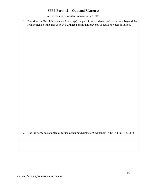# **SPPP Form 15 – Optional Measures**

| 1. Describe any Best Management Practice(s) the permittee has developed that extend beyond the<br>requirements of the Tier A MS4 NJPDES permit that prevents or reduces water pollution. |
|------------------------------------------------------------------------------------------------------------------------------------------------------------------------------------------|
|                                                                                                                                                                                          |
|                                                                                                                                                                                          |
|                                                                                                                                                                                          |
|                                                                                                                                                                                          |
|                                                                                                                                                                                          |
|                                                                                                                                                                                          |
|                                                                                                                                                                                          |
|                                                                                                                                                                                          |
|                                                                                                                                                                                          |
|                                                                                                                                                                                          |
|                                                                                                                                                                                          |
|                                                                                                                                                                                          |
| 2. Has the permittee adopted a Refuse Container/Dumpster Ordinance? YES Adopted 7-22-2010                                                                                                |
|                                                                                                                                                                                          |
|                                                                                                                                                                                          |
|                                                                                                                                                                                          |